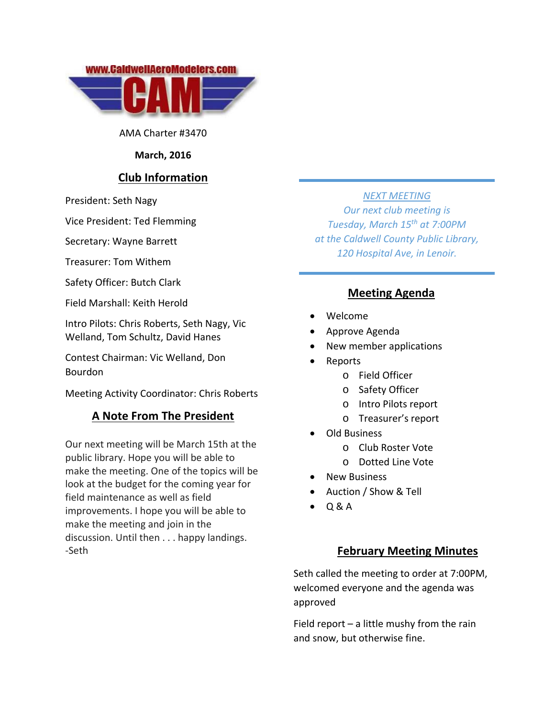

AMA Charter #3470

#### **March, 2016**

## **Club Information**

President: Seth Nagy

Vice President: Ted Flemming

Secretary: Wayne Barrett

Treasurer: Tom Withem

Safety Officer: Butch Clark

Field Marshall: Keith Herold

Intro Pilots: Chris Roberts, Seth Nagy, Vic Welland, Tom Schultz, David Hanes

Contest Chairman: Vic Welland, Don Bourdon

Meeting Activity Coordinator: Chris Roberts

## **A Note From The President**

Our next meeting will be March 15th at the public library. Hope you will be able to make the meeting. One of the topics will be look at the budget for the coming year for field maintenance as well as field improvements. I hope you will be able to make the meeting and join in the discussion. Until then . . . happy landings. ‐Seth

### *NEXT MEETING*

*Our next club meeting is Tuesday, March 15th at 7:00PM at the Caldwell County Public Library, 120 Hospital Ave, in Lenoir.*

# **Meeting Agenda**

- Welcome
- Approve Agenda
- New member applications
- Reports
	- o Field Officer
	- o Safety Officer
	- o Intro Pilots report
	- o Treasurer's report
- Old Business
	- o Club Roster Vote
	- o Dotted Line Vote
- New Business
- Auction / Show & Tell
- $O & A$

## **February Meeting Minutes**

Seth called the meeting to order at 7:00PM, welcomed everyone and the agenda was approved

Field report – a little mushy from the rain and snow, but otherwise fine.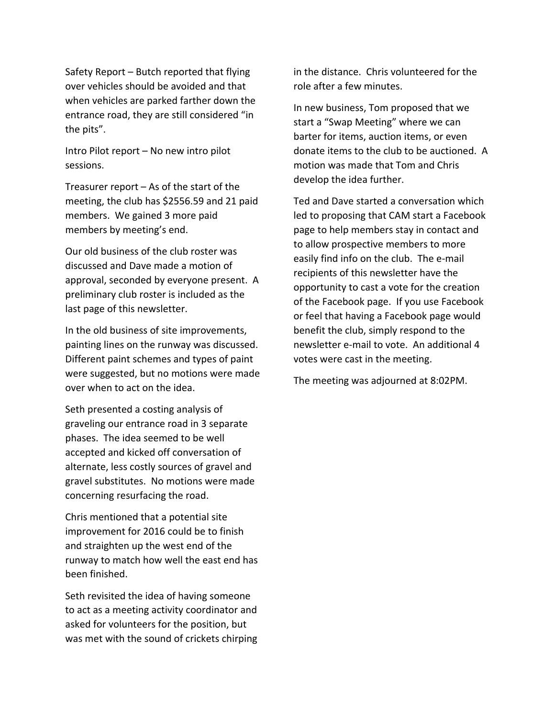Safety Report – Butch reported that flying over vehicles should be avoided and that when vehicles are parked farther down the entrance road, they are still considered "in the pits".

Intro Pilot report – No new intro pilot sessions.

Treasurer report – As of the start of the meeting, the club has \$2556.59 and 21 paid members. We gained 3 more paid members by meeting's end.

Our old business of the club roster was discussed and Dave made a motion of approval, seconded by everyone present. A preliminary club roster is included as the last page of this newsletter.

In the old business of site improvements, painting lines on the runway was discussed. Different paint schemes and types of paint were suggested, but no motions were made over when to act on the idea.

Seth presented a costing analysis of graveling our entrance road in 3 separate phases. The idea seemed to be well accepted and kicked off conversation of alternate, less costly sources of gravel and gravel substitutes. No motions were made concerning resurfacing the road.

Chris mentioned that a potential site improvement for 2016 could be to finish and straighten up the west end of the runway to match how well the east end has been finished.

Seth revisited the idea of having someone to act as a meeting activity coordinator and asked for volunteers for the position, but was met with the sound of crickets chirping in the distance. Chris volunteered for the role after a few minutes.

In new business, Tom proposed that we start a "Swap Meeting" where we can barter for items, auction items, or even donate items to the club to be auctioned. A motion was made that Tom and Chris develop the idea further.

Ted and Dave started a conversation which led to proposing that CAM start a Facebook page to help members stay in contact and to allow prospective members to more easily find info on the club. The e‐mail recipients of this newsletter have the opportunity to cast a vote for the creation of the Facebook page. If you use Facebook or feel that having a Facebook page would benefit the club, simply respond to the newsletter e‐mail to vote. An additional 4 votes were cast in the meeting.

The meeting was adjourned at 8:02PM.